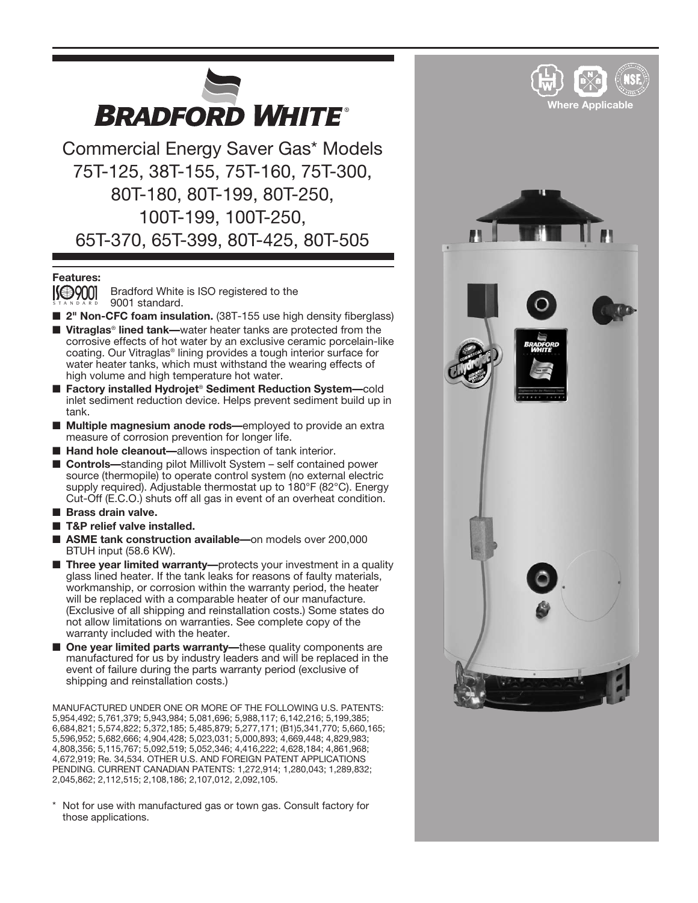

75T-125, 38T-155, 75T-160, 75T-300, 80T-180, 80T-199, 80T-250, 100T-199, 100T-250, 65T-370, 65T-399, 80T-425, 80T-505

**Features:**

Bradford White is ISO registered to the 9001 standard. STANDARD **199001** 

- **2<sup>"</sup> Non-CFC foam insulation.** (38T-155 use high density fiberglass)
- Vitraglas<sup>®</sup> lined tank—water heater tanks are protected from the corrosive effects of hot water by an exclusive ceramic porcelain-like coating. Our Vitraglas® lining provides a tough interior surface for water heater tanks, which must withstand the wearing effects of high volume and high temperature hot water.
- **Factory installed Hydrojet<sup>®</sup> Sediment Reduction System--cold** inlet sediment reduction device. Helps prevent sediment build up in tank.
- **Multiple magnesium anode rods**—employed to provide an extra measure of corrosion prevention for longer life.
- **Hand hole cleanout—allows inspection of tank interior.**
- **Controls**—standing pilot Millivolt System self contained power source (thermopile) to operate control system (no external electric supply required). Adjustable thermostat up to 180°F (82°C). Energy Cut-Off (E.C.O.) shuts off all gas in event of an overheat condition.
- **Brass drain valve.**
- T&P relief valve installed.
- **ASME tank construction available—**on models over 200,000 BTUH input (58.6 KW).
- **Three year limited warranty**—protects your investment in a quality glass lined heater. If the tank leaks for reasons of faulty materials, workmanship, or corrosion within the warranty period, the heater will be replaced with a comparable heater of our manufacture. (Exclusive of all shipping and reinstallation costs.) Some states do not allow limitations on warranties. See complete copy of the warranty included with the heater.
- One year limited parts warranty—these quality components are manufactured for us by industry leaders and will be replaced in the event of failure during the parts warranty period (exclusive of shipping and reinstallation costs.)

MANUFACTURED UNDER ONE OR MORE OF THE FOLLOWING U.S. PATENTS: 5,954,492; 5,761,379; 5,943,984; 5,081,696; 5,988,117; 6,142,216; 5,199,385; 6,684,821; 5,574,822; 5,372,185; 5,485,879; 5,277,171; (B1)5,341,770; 5,660,165; 5,596,952; 5,682,666; 4,904,428; 5,023,031; 5,000,893; 4,669,448; 4,829,983; 4,808,356; 5,115,767; 5,092,519; 5,052,346; 4,416,222; 4,628,184; 4,861,968; 4,672,919; Re. 34,534. OTHER U.S. AND FOREIGN PATENT APPLICATIONS PENDING. CURRENT CANADIAN PATENTS: 1,272,914; 1,280,043; 1,289,832; 2,045,862; 2,112,515; 2,108,186; 2,107,012, 2,092,105.

\* Not for use with manufactured gas or town gas. Consult factory for those applications.